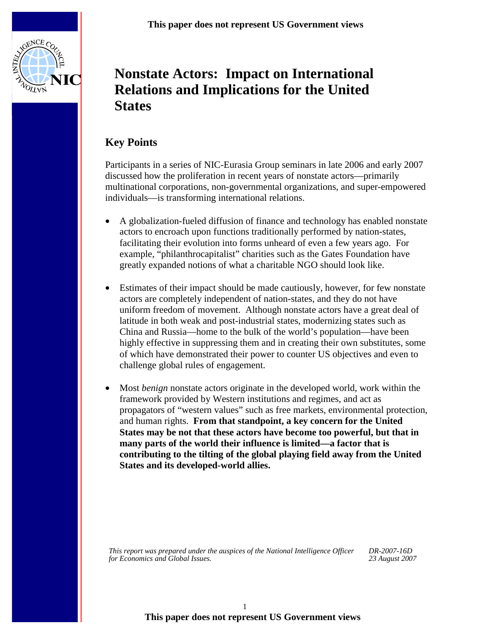

# **Nonstate Actors: Impact on International Relations and Implications for the United States**

# **Key Points**

Participants in a series of NIC-Eurasia Group seminars in late 2006 and early 2007 discussed how the proliferation in recent years of nonstate actors—primarily multinational corporations, non-governmental organizations, and super-empowered individuals—is transforming international relations.

- A globalization-fueled diffusion of finance and technology has enabled nonstate actors to encroach upon functions traditionally performed by nation-states, facilitating their evolution into forms unheard of even a few years ago. For example, "philanthrocapitalist" charities such as the Gates Foundation have greatly expanded notions of what a charitable NGO should look like.
- Estimates of their impact should be made cautiously, however, for few nonstate actors are completely independent of nation-states, and they do not have uniform freedom of movement. Although nonstate actors have a great deal of latitude in both weak and post-industrial states, modernizing states such as China and Russia—home to the bulk of the world's population—have been highly effective in suppressing them and in creating their own substitutes, some of which have demonstrated their power to counter US objectives and even to challenge global rules of engagement.
- Most *benign* nonstate actors originate in the developed world, work within the framework provided by Western institutions and regimes, and act as propagators of "western values" such as free markets, environmental protection, and human rights. **From that standpoint, a key concern for the United States may be not that these actors have become too powerful, but that in many parts of the world their influence is limited—a factor that is contributing to the tilting of the global playing field away from the United States and its developed-world allies.**

*This report was prepared under the auspices of the National Intelligence Officer for Economics and Global Issues.* 

*DR-2007-16D 23 August 2007*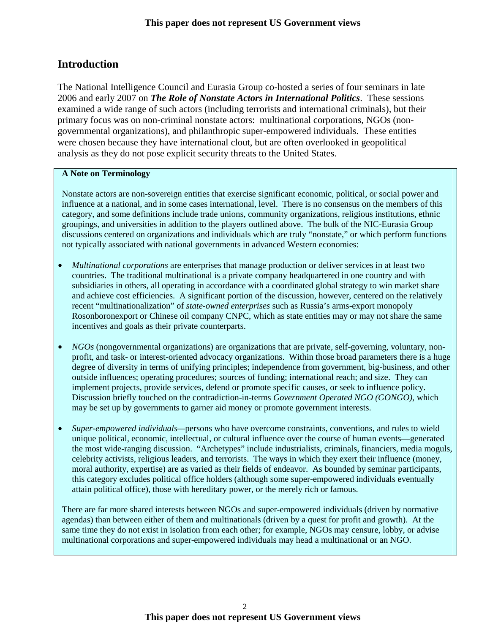# **Introduction**

The National Intelligence Council and Eurasia Group co-hosted a series of four seminars in late 2006 and early 2007 on *The Role of Nonstate Actors in International Politics*. These sessions examined a wide range of such actors (including terrorists and international criminals), but their primary focus was on non-criminal nonstate actors: multinational corporations, NGOs (nongovernmental organizations), and philanthropic super-empowered individuals. These entities were chosen because they have international clout, but are often overlooked in geopolitical analysis as they do not pose explicit security threats to the United States.

#### **A Note on Terminology**

Nonstate actors are non-sovereign entities that exercise significant economic, political, or social power and influence at a national, and in some cases international, level. There is no consensus on the members of this category, and some definitions include trade unions, community organizations, religious institutions, ethnic groupings, and universities in addition to the players outlined above. The bulk of the NIC-Eurasia Group discussions centered on organizations and individuals which are truly "nonstate," or which perform functions not typically associated with national governments in advanced Western economies:

- *Multinational corporations* are enterprises that manage production or deliver services in at least two countries. The traditional multinational is a private company headquartered in one country and with subsidiaries in others, all operating in accordance with a coordinated global strategy to win market share and achieve cost efficiencies. A significant portion of the discussion, however, centered on the relatively recent "multinationalization" of *state-owned enterprises* such as Russia's arms-export monopoly Rosonboronexport or Chinese oil company CNPC, which as state entities may or may not share the same incentives and goals as their private counterparts.
- *NGOs* (nongovernmental organizations) are organizations that are private, self-governing, voluntary, nonprofit, and task- or interest-oriented advocacy organizations. Within those broad parameters there is a huge degree of diversity in terms of unifying principles; independence from government, big-business, and other outside influences; operating procedures; sources of funding; international reach; and size. They can implement projects, provide services, defend or promote specific causes, or seek to influence policy. Discussion briefly touched on the contradiction-in-terms *Government Operated NGO (GONGO)*, which may be set up by governments to garner aid money or promote government interests.
- *Super-empowered individuals—*persons who have overcome constraints, conventions, and rules to wield unique political, economic, intellectual, or cultural influence over the course of human events—generated the most wide-ranging discussion. "Archetypes" include industrialists, criminals, financiers, media moguls, celebrity activists, religious leaders, and terrorists. The ways in which they exert their influence (money, moral authority, expertise) are as varied as their fields of endeavor. As bounded by seminar participants, this category excludes political office holders (although some super-empowered individuals eventually attain political office), those with hereditary power, or the merely rich or famous.

There are far more shared interests between NGOs and super-empowered individuals (driven by normative agendas) than between either of them and multinationals (driven by a quest for profit and growth). At the same time they do not exist in isolation from each other; for example, NGOs may censure, lobby, or advise multinational corporations and super-empowered individuals may head a multinational or an NGO.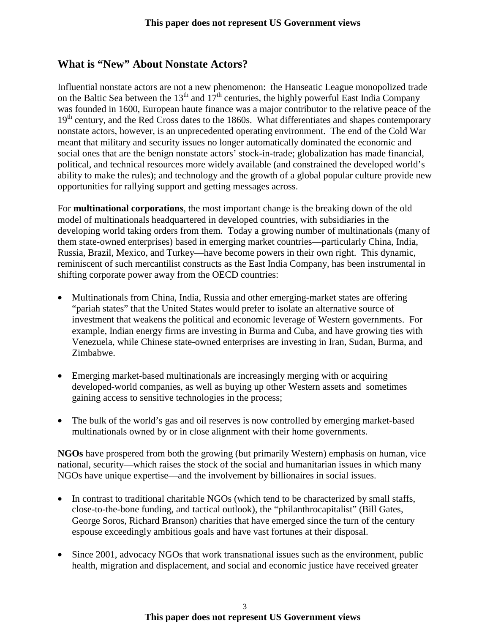## **What is "New" About Nonstate Actors?**

Influential nonstate actors are not a new phenomenon: the Hanseatic League monopolized trade on the Baltic Sea between the 13<sup>th</sup> and  $17<sup>th</sup>$  centuries, the highly powerful East India Company was founded in 1600, European haute finance was a major contributor to the relative peace of the  $19<sup>th</sup>$  century, and the Red Cross dates to the 1860s. What differentiates and shapes contemporary nonstate actors, however, is an unprecedented operating environment. The end of the Cold War meant that military and security issues no longer automatically dominated the economic and social ones that are the benign nonstate actors' stock-in-trade; globalization has made financial, political, and technical resources more widely available (and constrained the developed world's ability to make the rules); and technology and the growth of a global popular culture provide new opportunities for rallying support and getting messages across.

For **multinational corporations**, the most important change is the breaking down of the old model of multinationals headquartered in developed countries, with subsidiaries in the developing world taking orders from them. Today a growing number of multinationals (many of them state-owned enterprises) based in emerging market countries—particularly China, India, Russia, Brazil, Mexico, and Turkey—have become powers in their own right. This dynamic, reminiscent of such mercantilist constructs as the East India Company, has been instrumental in shifting corporate power away from the OECD countries:

- Multinationals from China, India, Russia and other emerging-market states are offering "pariah states" that the United States would prefer to isolate an alternative source of investment that weakens the political and economic leverage of Western governments. For example, Indian energy firms are investing in Burma and Cuba, and have growing ties with Venezuela, while Chinese state-owned enterprises are investing in Iran, Sudan, Burma, and Zimbabwe.
- Emerging market-based multinationals are increasingly merging with or acquiring developed-world companies, as well as buying up other Western assets and sometimes gaining access to sensitive technologies in the process;
- The bulk of the world's gas and oil reserves is now controlled by emerging market-based multinationals owned by or in close alignment with their home governments.

**NGOs** have prospered from both the growing (but primarily Western) emphasis on human, vice national, security—which raises the stock of the social and humanitarian issues in which many NGOs have unique expertise—and the involvement by billionaires in social issues.

- In contrast to traditional charitable NGOs (which tend to be characterized by small staffs, close-to-the-bone funding, and tactical outlook), the "philanthrocapitalist" (Bill Gates, George Soros, Richard Branson) charities that have emerged since the turn of the century espouse exceedingly ambitious goals and have vast fortunes at their disposal.
- Since 2001, advocacy NGOs that work transnational issues such as the environment, public health, migration and displacement, and social and economic justice have received greater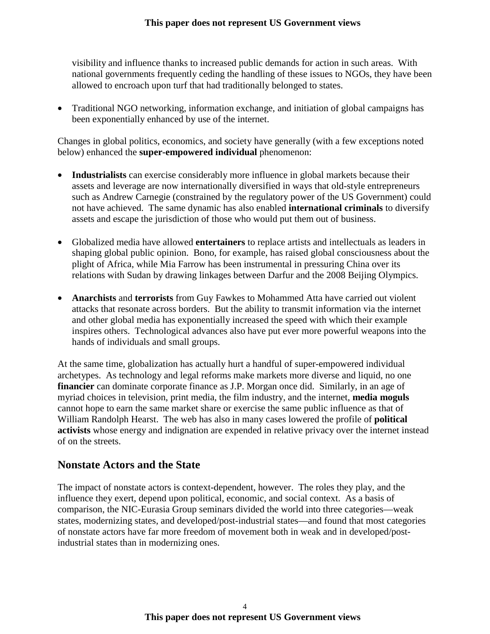visibility and influence thanks to increased public demands for action in such areas. With national governments frequently ceding the handling of these issues to NGOs, they have been allowed to encroach upon turf that had traditionally belonged to states.

• Traditional NGO networking, information exchange, and initiation of global campaigns has been exponentially enhanced by use of the internet.

Changes in global politics, economics, and society have generally (with a few exceptions noted below) enhanced the **super-empowered individual** phenomenon:

- **Industrialists** can exercise considerably more influence in global markets because their assets and leverage are now internationally diversified in ways that old-style entrepreneurs such as Andrew Carnegie (constrained by the regulatory power of the US Government) could not have achieved. The same dynamic has also enabled **international criminals** to diversify assets and escape the jurisdiction of those who would put them out of business.
- Globalized media have allowed **entertainers** to replace artists and intellectuals as leaders in shaping global public opinion. Bono, for example, has raised global consciousness about the plight of Africa, while Mia Farrow has been instrumental in pressuring China over its relations with Sudan by drawing linkages between Darfur and the 2008 Beijing Olympics.
- **Anarchists** and **terrorists** from Guy Fawkes to Mohammed Atta have carried out violent attacks that resonate across borders. But the ability to transmit information via the internet and other global media has exponentially increased the speed with which their example inspires others. Technological advances also have put ever more powerful weapons into the hands of individuals and small groups.

At the same time, globalization has actually hurt a handful of super-empowered individual archetypes. As technology and legal reforms make markets more diverse and liquid, no one **financier** can dominate corporate finance as J.P. Morgan once did. Similarly, in an age of myriad choices in television, print media, the film industry, and the internet, **media moguls** cannot hope to earn the same market share or exercise the same public influence as that of William Randolph Hearst. The web has also in many cases lowered the profile of **political activists** whose energy and indignation are expended in relative privacy over the internet instead of on the streets.

### **Nonstate Actors and the State**

The impact of nonstate actors is context-dependent, however. The roles they play, and the influence they exert, depend upon political, economic, and social context. As a basis of comparison, the NIC-Eurasia Group seminars divided the world into three categories—weak states, modernizing states, and developed/post-industrial states—and found that most categories of nonstate actors have far more freedom of movement both in weak and in developed/postindustrial states than in modernizing ones.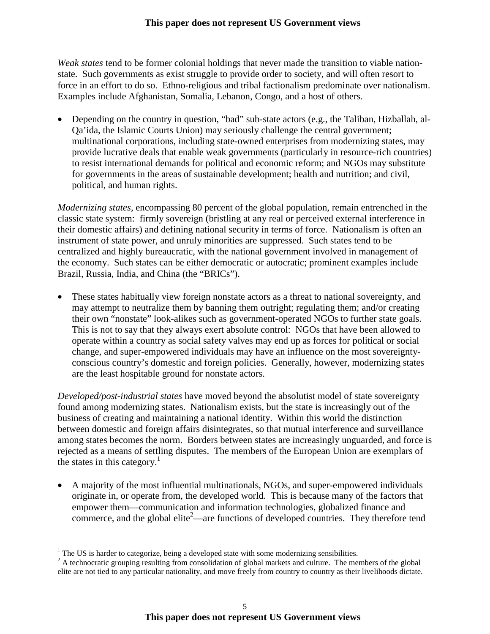#### **This paper does not represent US Government views**

*Weak states* tend to be former colonial holdings that never made the transition to viable nationstate. Such governments as exist struggle to provide order to society, and will often resort to force in an effort to do so. Ethno-religious and tribal factionalism predominate over nationalism. Examples include Afghanistan, Somalia, Lebanon, Congo, and a host of others.

• Depending on the country in question, "bad" sub-state actors (e.g., the Taliban, Hizballah, al-Qa'ida, the Islamic Courts Union) may seriously challenge the central government; multinational corporations, including state-owned enterprises from modernizing states, may provide lucrative deals that enable weak governments (particularly in resource-rich countries) to resist international demands for political and economic reform; and NGOs may substitute for governments in the areas of sustainable development; health and nutrition; and civil, political, and human rights.

*Modernizing states*, encompassing 80 percent of the global population, remain entrenched in the classic state system: firmly sovereign (bristling at any real or perceived external interference in their domestic affairs) and defining national security in terms of force. Nationalism is often an instrument of state power, and unruly minorities are suppressed. Such states tend to be centralized and highly bureaucratic, with the national government involved in management of the economy. Such states can be either democratic or autocratic; prominent examples include Brazil, Russia, India, and China (the "BRICs").

• These states habitually view foreign nonstate actors as a threat to national sovereignty, and may attempt to neutralize them by banning them outright; regulating them; and/or creating their own "nonstate" look-alikes such as government-operated NGOs to further state goals. This is not to say that they always exert absolute control: NGOs that have been allowed to operate within a country as social safety valves may end up as forces for political or social change, and super-empowered individuals may have an influence on the most sovereigntyconscious country's domestic and foreign policies. Generally, however, modernizing states are the least hospitable ground for nonstate actors.

*Developed/post-industrial states* have moved beyond the absolutist model of state sovereignty found among modernizing states. Nationalism exists, but the state is increasingly out of the business of creating and maintaining a national identity. Within this world the distinction between domestic and foreign affairs disintegrates, so that mutual interference and surveillance among states becomes the norm. Borders between states are increasingly unguarded, and force is rejected as a means of settling disputes. The members of the European Union are exemplars of the states in this category.<sup>1</sup>

• A majority of the most influential multinationals, NGOs, and super-empowered individuals originate in, or operate from, the developed world. This is because many of the factors that empower them—communication and information technologies, globalized finance and commerce, and the global elite<sup>2</sup>—are functions of developed countries. They therefore tend

 $\overline{a}$  $1$  The US is harder to categorize, being a developed state with some modernizing sensibilities.

 $2^2$  A technocratic grouping resulting from consolidation of global markets and culture. The members of the global elite are not tied to any particular nationality, and move freely from country to country as their livelihoods dictate.